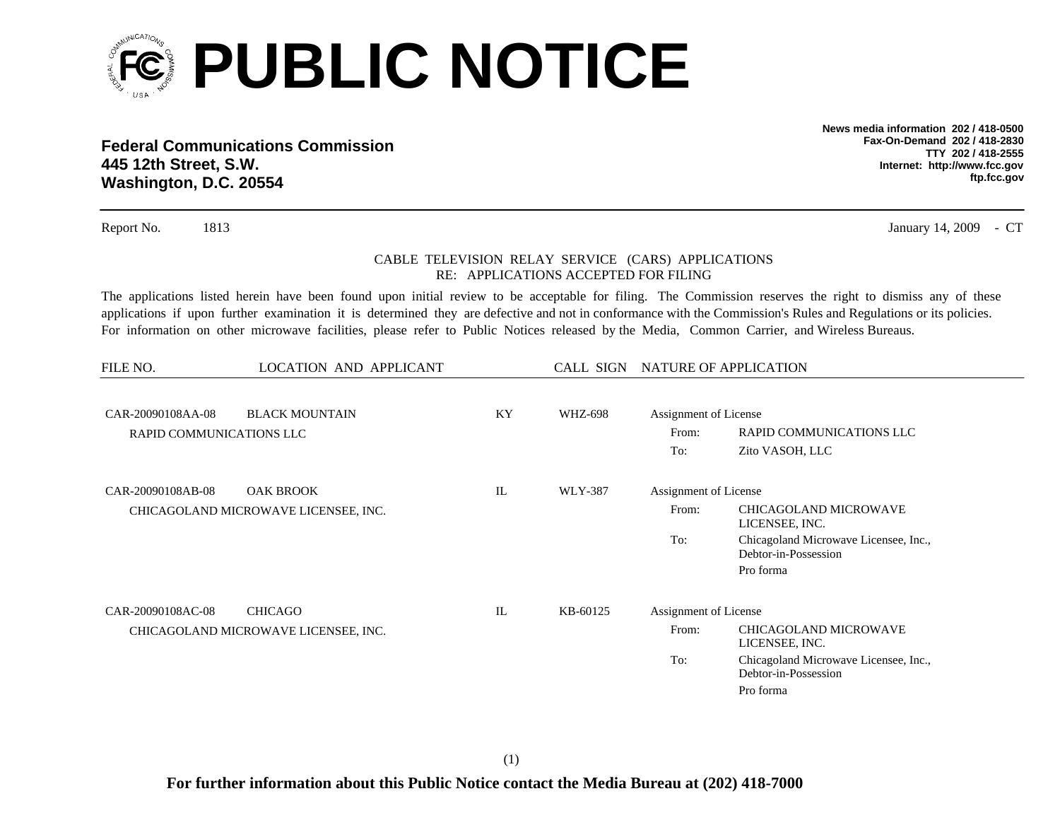

**Federal Communications Commission445 12th Street, S.W. Washington, D.C. 20554**

**News media information 202 / 418-0500Fax-On-Demand 202 / 418-2830TTY 202 / 418-2555Internet: http://www.fcc.gov ftp.fcc.gov**

Report No. 1813 January 14, 2009

## CABLE TELEVISION RELAY SERVICE (CARS) APPLICATIONS RE: APPLICATIONS ACCEPTED FOR FILING

The applications listed herein have been found upon initial review to be acceptable for filing. The Commission reserves the right to dismiss any of these applications if upon further examination it is determined they are defective and not in conformance with the Commission's Rules and Regulations or its policies. For information on other microwave facilities, please refer to Public Notices released by the Media, Common Carrier, and Wireless Bureaus.

| FILE NO.                                      | CALL SIGN NATURE OF APPLICATION<br><b>LOCATION AND APPLICANT</b> |             |          |                                                                                                                                                                |                                                                                                                              |
|-----------------------------------------------|------------------------------------------------------------------|-------------|----------|----------------------------------------------------------------------------------------------------------------------------------------------------------------|------------------------------------------------------------------------------------------------------------------------------|
| CAR-20090108AA-08<br>RAPID COMMUNICATIONS LLC | <b>BLACK MOUNTAIN</b>                                            | KY          | WHZ-698  | Assignment of License<br>RAPID COMMUNICATIONS LLC<br>From:<br>To:<br>Zito VASOH, LLC                                                                           |                                                                                                                              |
| CAR-20090108AB-08                             | <b>OAK BROOK</b><br>CHICAGOLAND MICROWAVE LICENSEE, INC.         | $_{\rm IL}$ | WLY-387  | Assignment of License<br>From:<br>To:                                                                                                                          | <b>CHICAGOLAND MICROWAVE</b><br>LICENSEE, INC.<br>Chicagoland Microwave Licensee, Inc.,<br>Debtor-in-Possession<br>Pro forma |
| CAR-20090108AC-08                             | <b>CHICAGO</b><br>CHICAGOLAND MICROWAVE LICENSEE, INC.           | IL          | KB-60125 | Assignment of License<br>CHICAGOLAND MICROWAVE<br>From:<br>LICENSEE, INC.<br>To:<br>Chicagoland Microwave Licensee, Inc.,<br>Debtor-in-Possession<br>Pro forma |                                                                                                                              |

- CT